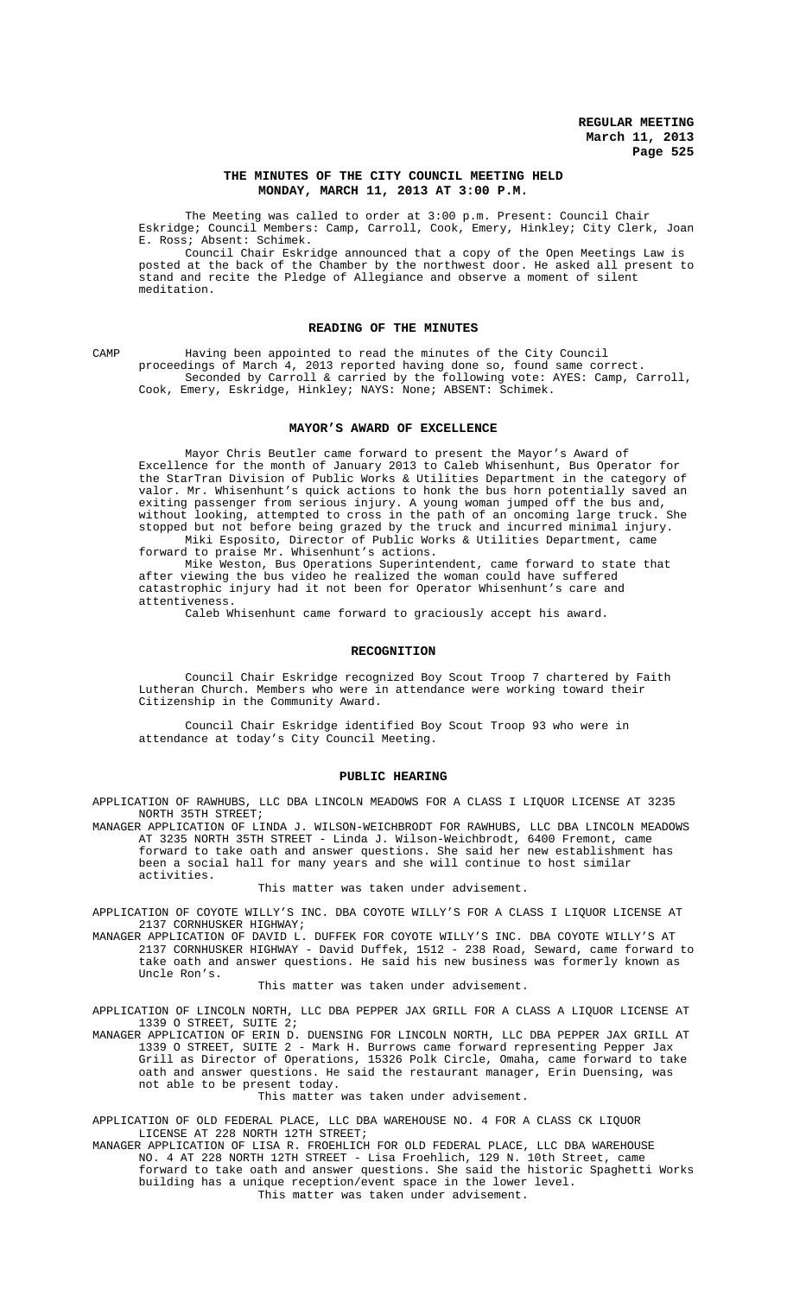## **THE MINUTES OF THE CITY COUNCIL MEETING HELD MONDAY, MARCH 11, 2013 AT 3:00 P.M.**

The Meeting was called to order at 3:00 p.m. Present: Council Chair Eskridge; Council Members: Camp, Carroll, Cook, Emery, Hinkley; City Clerk, Joan E. Ross; Absent: Schimek.

Council Chair Eskridge announced that a copy of the Open Meetings Law is posted at the back of the Chamber by the northwest door. He asked all present to stand and recite the Pledge of Allegiance and observe a moment of silent meditation.

## **READING OF THE MINUTES**

CAMP Having been appointed to read the minutes of the City Council proceedings of March 4, 2013 reported having done so, found same correct. Seconded by Carroll & carried by the following vote: AYES: Camp, Carroll, Cook, Emery, Eskridge, Hinkley; NAYS: None; ABSENT: Schimek.

### **MAYOR'S AWARD OF EXCELLENCE**

Mayor Chris Beutler came forward to present the Mayor's Award of Excellence for the month of January 2013 to Caleb Whisenhunt, Bus Operator for the StarTran Division of Public Works & Utilities Department in the category of valor. Mr. Whisenhunt's quick actions to honk the bus horn potentially saved an exiting passenger from serious injury. A young woman jumped off the bus and, without looking, attempted to cross in the path of an oncoming large truck. She stopped but not before being grazed by the truck and incurred minimal injury. Miki Esposito, Director of Public Works & Utilities Department, came forward to praise Mr. Whisenhunt's actions.

Mike Weston, Bus Operations Superintendent, came forward to state that after viewing the bus video he realized the woman could have suffered catastrophic injury had it not been for Operator Whisenhunt's care and attentiveness.

Caleb Whisenhunt came forward to graciously accept his award.

### **RECOGNITION**

Council Chair Eskridge recognized Boy Scout Troop 7 chartered by Faith Lutheran Church. Members who were in attendance were working toward their Citizenship in the Community Award.

Council Chair Eskridge identified Boy Scout Troop 93 who were in attendance at today's City Council Meeting.

### **PUBLIC HEARING**

APPLICATION OF RAWHUBS, LLC DBA LINCOLN MEADOWS FOR A CLASS I LIQUOR LICENSE AT 3235 NORTH 35TH STREET;

MANAGER APPLICATION OF LINDA J. WILSON-WEICHBRODT FOR RAWHUBS, LLC DBA LINCOLN MEADOWS AT 3235 NORTH 35TH STREET - Linda J. Wilson-Weichbrodt, 6400 Fremont, came forward to take oath and answer questions. She said her new establishment has been a social hall for many years and she will continue to host similar activities.

This matter was taken under advisement.

APPLICATION OF COYOTE WILLY'S INC. DBA COYOTE WILLY'S FOR A CLASS I LIQUOR LICENSE AT 2137 CORNHUSKER HIGHWAY;

MANAGER APPLICATION OF DAVID L. DUFFEK FOR COYOTE WILLY'S INC. DBA COYOTE WILLY'S AT 2137 CORNHUSKER HIGHWAY - David Duffek, 1512 - 238 Road, Seward, came forward to take oath and answer questions. He said his new business was formerly known as Uncle Ron's.

#### This matter was taken under advisement.

APPLICATION OF LINCOLN NORTH, LLC DBA PEPPER JAX GRILL FOR A CLASS A LIQUOR LICENSE AT 1339 O STREET, SUITE 2;

MANAGER APPLICATION OF ERIN D. DUENSING FOR LINCOLN NORTH, LLC DBA PEPPER JAX GRILL AT 1339 O STREET, SUITE 2 - Mark H. Burrows came forward representing Pepper Jax Grill as Director of Operations, 15326 Polk Circle, Omaha, came forward to take oath and answer questions. He said the restaurant manager, Erin Duensing, was not able to be present today.

## This matter was taken under advisement.

APPLICATION OF OLD FEDERAL PLACE, LLC DBA WAREHOUSE NO. 4 FOR A CLASS CK LIQUOR LICENSE AT 228 NORTH 12TH STREET;

MANAGER APPLICATION OF LISA R. FROEHLICH FOR OLD FEDERAL PLACE, LLC DBA WAREHOUSE NO. 4 AT 228 NORTH 12TH STREET - Lisa Froehlich, 129 N. 10th Street, came forward to take oath and answer questions. She said the historic Spaghetti Works building has a unique reception/event space in the lower level. This matter was taken under advisement.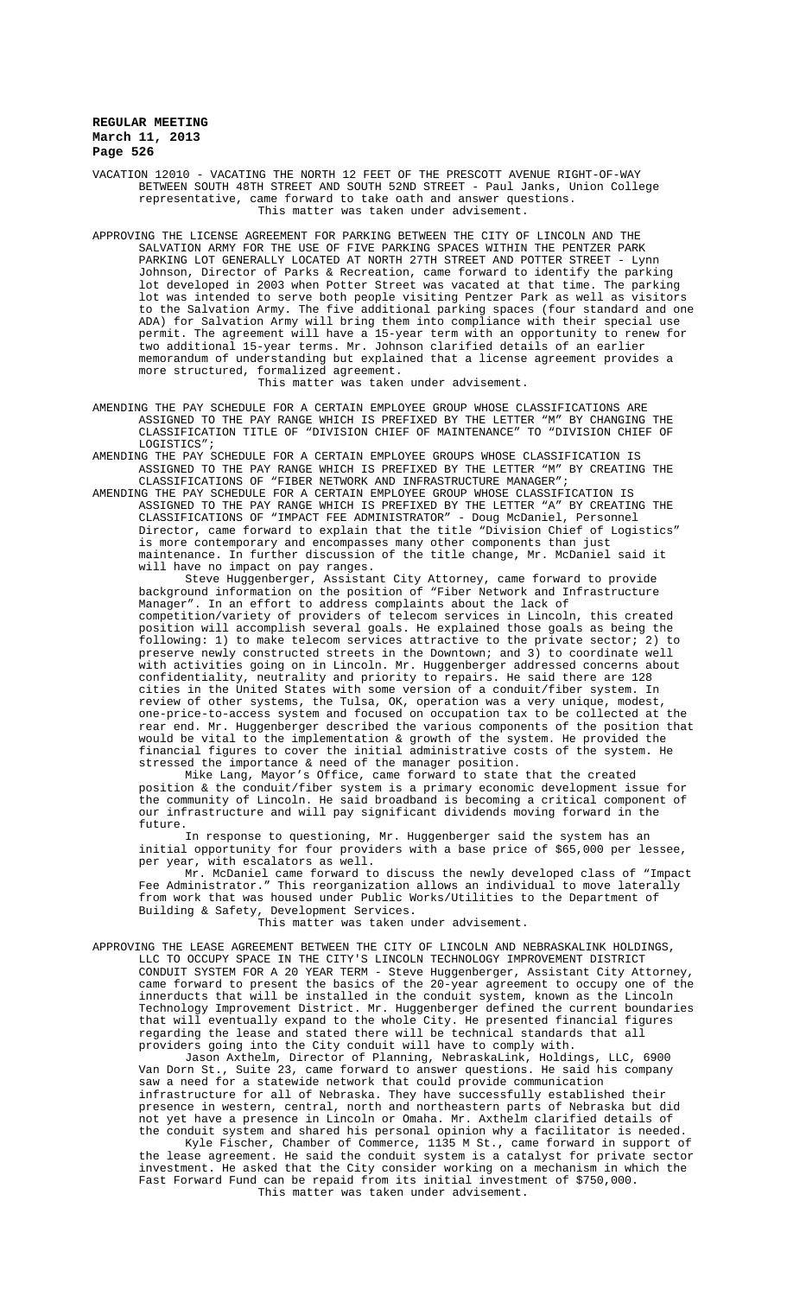VACATION 12010 - VACATING THE NORTH 12 FEET OF THE PRESCOTT AVENUE RIGHT-OF-WAY BETWEEN SOUTH 48TH STREET AND SOUTH 52ND STREET - Paul Janks, Union College representative, came forward to take oath and answer questions. This matter was taken under advisement.

APPROVING THE LICENSE AGREEMENT FOR PARKING BETWEEN THE CITY OF LINCOLN AND THE SALVATION ARMY FOR THE USE OF FIVE PARKING SPACES WITHIN THE PENTZER PARK PARKING LOT GENERALLY LOCATED AT NORTH 27TH STREET AND POTTER STREET - Lynn Johnson, Director of Parks & Recreation, came forward to identify the parking lot developed in 2003 when Potter Street was vacated at that time. The parking lot was intended to serve both people visiting Pentzer Park as well as visitors to the Salvation Army. The five additional parking spaces (four standard and one ADA) for Salvation Army will bring them into compliance with their special use permit. The agreement will have a 15-year term with an opportunity to renew for two additional 15-year terms. Mr. Johnson clarified details of an earlier memorandum of understanding but explained that a license agreement provides a more structured, formalized agreement.

This matter was taken under advisement.

AMENDING THE PAY SCHEDULE FOR A CERTAIN EMPLOYEE GROUP WHOSE CLASSIFICATIONS ARE ASSIGNED TO THE PAY RANGE WHICH IS PREFIXED BY THE LETTER "M" BY CHANGING THE CLASSIFICATION TITLE OF "DIVISION CHIEF OF MAINTENANCE" TO "DIVISION CHIEF OF LOGISTICS";

AMENDING THE PAY SCHEDULE FOR A CERTAIN EMPLOYEE GROUPS WHOSE CLASSIFICATION IS ASSIGNED TO THE PAY RANGE WHICH IS PREFIXED BY THE LETTER "M" BY CREATING THE CLASSIFICATIONS OF "FIBER NETWORK AND INFRASTRUCTURE MANAGER";

AMENDING THE PAY SCHEDULE FOR A CERTAIN EMPLOYEE GROUP WHOSE CLASSIFICATION IS<br>ASSIGNED TO THE PAY RANGE WHICH IS PREFIXED BY THE LETTER "A" BY CREATING THE ASSIGNED TO THE PAY RANGE WHICH IS PREFIXED BY THE LETTER "A" CLASSIFICATIONS OF "IMPACT FEE ADMINISTRATOR" - Doug McDaniel, Personnel Director, came forward to explain that the title "Division Chief of Logistics" is more contemporary and encompasses many other components than just maintenance. In further discussion of the title change, Mr. McDaniel said it will have no impact on pay ranges.

Steve Huggenberger, Assistant City Attorney, came forward to provide background information on the position of "Fiber Network and Infrastructure Manager". In an effort to address complaints about the lack of competition/variety of providers of telecom services in Lincoln, this created position will accomplish several goals. He explained those goals as being the following: 1) to make telecom services attractive to the private sector; 2) to preserve newly constructed streets in the Downtown; and 3) to coordinate well with activities going on in Lincoln. Mr. Huggenberger addressed concerns about confidentiality, neutrality and priority to repairs. He said there are 128 cities in the United States with some version of a conduit/fiber system. In review of other systems, the Tulsa, OK, operation was a very unique, modest, one-price-to-access system and focused on occupation tax to be collected at the rear end. Mr. Huggenberger described the various components of the position that would be vital to the implementation & growth of the system. He provided the financial figures to cover the initial administrative costs of the system. He stressed the importance & need of the manager position.

Mike Lang, Mayor's Office, came forward to state that the created position & the conduit/fiber system is a primary economic development issue for the community of Lincoln. He said broadband is becoming a critical component of our infrastructure and will pay significant dividends moving forward in the future.

In response to questioning, Mr. Huggenberger said the system has an initial opportunity for four providers with a base price of \$65,000 per lessee, per year, with escalators as well.

Mr. McDaniel came forward to discuss the newly developed class of "Impact Fee Administrator." This reorganization allows an individual to move laterally from work that was housed under Public Works/Utilities to the Department of Building & Safety, Development Services.

This matter was taken under advisement.

APPROVING THE LEASE AGREEMENT BETWEEN THE CITY OF LINCOLN AND NEBRASKALINK HOLDINGS, LLC TO OCCUPY SPACE IN THE CITY'S LINCOLN TECHNOLOGY IMPROVEMENT DISTRICT

CONDUIT SYSTEM FOR A 20 YEAR TERM - Steve Huggenberger, Assistant City Attorney,<br>came forward to present the basics of the 20-year agreement to occupy one of the came forward to present the basics of the 20-year agreement to occupy innerducts that will be installed in the conduit system, known as the Lincoln Technology Improvement District. Mr. Huggenberger defined the current boundaries that will eventually expand to the whole City. He presented financial figures regarding the lease and stated there will be technical standards that all providers going into the City conduit will have to comply with.

Jason Axthelm, Director of Planning, NebraskaLink, Holdings, LLC, 6900 Van Dorn St., Suite 23, came forward to answer questions. He said his company saw a need for a statewide network that could provide communication infrastructure for all of Nebraska. They have successfully established their presence in western, central, north and northeastern parts of Nebraska but did not yet have a presence in Lincoln or Omaha. Mr. Axthelm clarified details of the conduit system and shared his personal opinion why a facilitator is needed.

Kyle Fischer, Chamber of Commerce, 1135 M St., came forward in support of the lease agreement. He said the conduit system is a catalyst for private sector investment. He asked that the City consider working on a mechanism in which the Fast Forward Fund can be repaid from its initial investment of \$750,000. This matter was taken under advisement.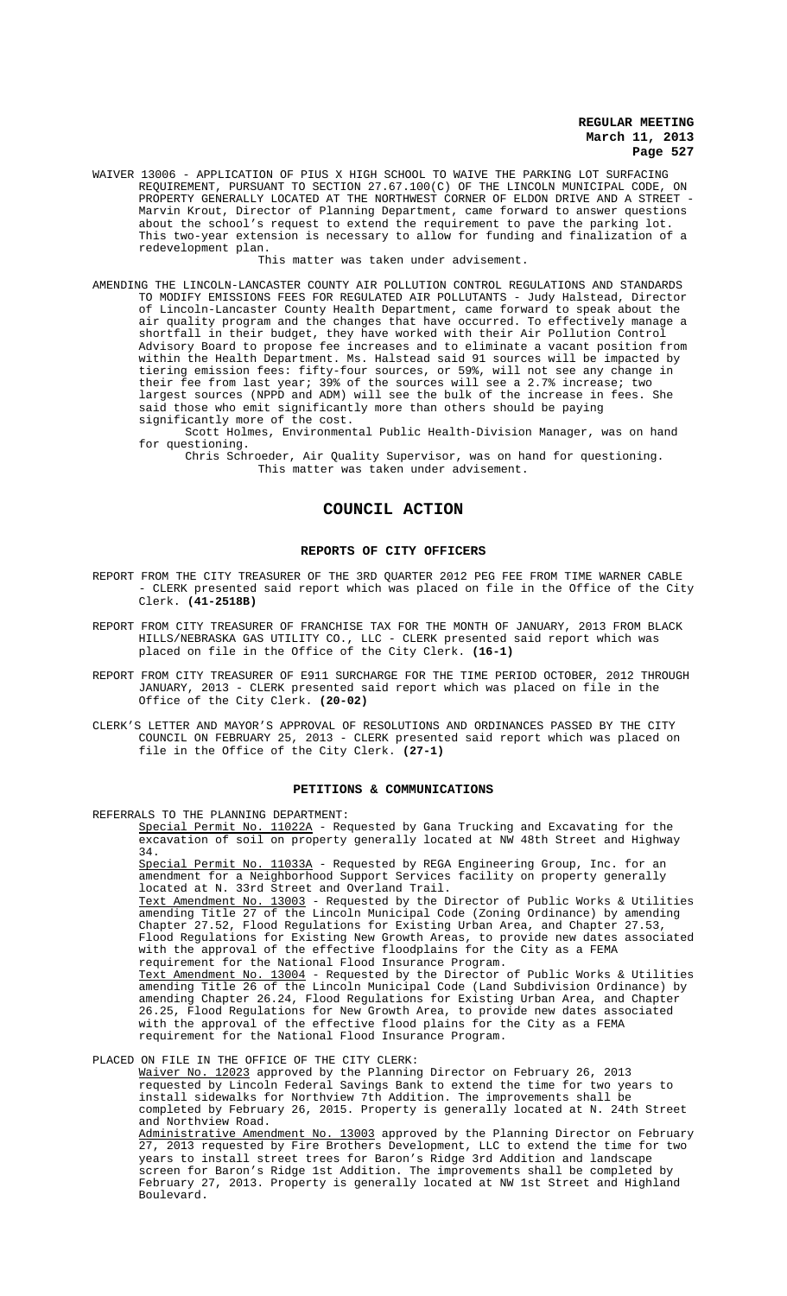WAIVER 13006 - APPLICATION OF PIUS X HIGH SCHOOL TO WAIVE THE PARKING LOT SURFACING REQUIREMENT, PURSUANT TO SECTION 27.67.100(C) OF THE LINCOLN MUNICIPAL CODE, ON PROPERTY GENERALLY LOCATED AT THE NORTHWEST CORNER OF ELDON DRIVE AND A STREET - Marvin Krout, Director of Planning Department, came forward to answer questions about the school's request to extend the requirement to pave the parking lot. This two-year extension is necessary to allow for funding and finalization of a redevelopment plan.

This matter was taken under advisement.

AMENDING THE LINCOLN-LANCASTER COUNTY AIR POLLUTION CONTROL REGULATIONS AND STANDARDS TO MODIFY EMISSIONS FEES FOR REGULATED AIR POLLUTANTS - Judy Halstead, Director of Lincoln-Lancaster County Health Department, came forward to speak about the air quality program and the changes that have occurred. To effectively manage a shortfall in their budget, they have worked with their Air Pollution Control Advisory Board to propose fee increases and to eliminate a vacant position from within the Health Department. Ms. Halstead said 91 sources will be impacted by tiering emission fees: fifty-four sources, or 59%, will not see any change in their fee from last year; 39% of the sources will see a 2.7% increase; two largest sources (NPPD and ADM) will see the bulk of the increase in fees. She said those who emit significantly more than others should be paying significantly more of the cost.

Scott Holmes, Environmental Public Health-Division Manager, was on hand for questioning.

Chris Schroeder, Air Quality Supervisor, was on hand for questioning. This matter was taken under advisement.

# **COUNCIL ACTION**

## **REPORTS OF CITY OFFICERS**

- REPORT FROM THE CITY TREASURER OF THE 3RD QUARTER 2012 PEG FEE FROM TIME WARNER CABLE - CLERK presented said report which was placed on file in the Office of the City Clerk. **(41-2518B)**
- REPORT FROM CITY TREASURER OF FRANCHISE TAX FOR THE MONTH OF JANUARY, 2013 FROM BLACK HILLS/NEBRASKA GAS UTILITY CO., LLC - CLERK presented said report which was placed on file in the Office of the City Clerk. **(16-1)**
- REPORT FROM CITY TREASURER OF E911 SURCHARGE FOR THE TIME PERIOD OCTOBER, 2012 THROUGH JANUARY, 2013 - CLERK presented said report which was placed on file in the Office of the City Clerk. **(20-02)**
- CLERK'S LETTER AND MAYOR'S APPROVAL OF RESOLUTIONS AND ORDINANCES PASSED BY THE CITY COUNCIL ON FEBRUARY 25, 2013 - CLERK presented said report which was placed on file in the Office of the City Clerk. **(27-1)**

### **PETITIONS & COMMUNICATIONS**

REFERRALS TO THE PLANNING DEPARTMENT:

Special Permit No. 11022A - Requested by Gana Trucking and Excavating for the excavation of soil on property generally located at NW 48th Street and Highway 34.

Special Permit No. 11033A - Requested by REGA Engineering Group, Inc. for an amendment for a Neighborhood Support Services facility on property generally located at N. 33rd Street and Overland Trail.

Text Amendment No. 13003 - Requested by the Director of Public Works & Utilities amending Title 27 of the Lincoln Municipal Code (Zoning Ordinance) by amending Chapter 27.52, Flood Regulations for Existing Urban Area, and Chapter 27.53, Flood Regulations for Existing New Growth Areas, to provide new dates associated with the approval of the effective floodplains for the City as a FEMA requirement for the National Flood Insurance Program.

Text Amendment No. 13004 - Requested by the Director of Public Works & Utilities amending Title 26 of the Lincoln Municipal Code (Land Subdivision Ordinance) by amending Chapter 26.24, Flood Regulations for Existing Urban Area, and Chapter 26.25, Flood Regulations for New Growth Area, to provide new dates associated with the approval of the effective flood plains for the City as a FEMA requirement for the National Flood Insurance Program.

PLACED ON FILE IN THE OFFICE OF THE CITY CLERK:

Waiver No. 12023 approved by the Planning Director on February 26, 2013 requested by Lincoln Federal Savings Bank to extend the time for two years to install sidewalks for Northview 7th Addition. The improvements shall be completed by February 26, 2015. Property is generally located at N. 24th Street and Northview Road. Administrative Amendment No. 13003 approved by the Planning Director on February 27, 2013 requested by Fire Brothers Development, LLC to extend the time for two years to install street trees for Baron's Ridge 3rd Addition and landscape

screen for Baron's Ridge 1st Addition. The improvements shall be completed by February 27, 2013. Property is generally located at NW 1st Street and Highland Boulevard.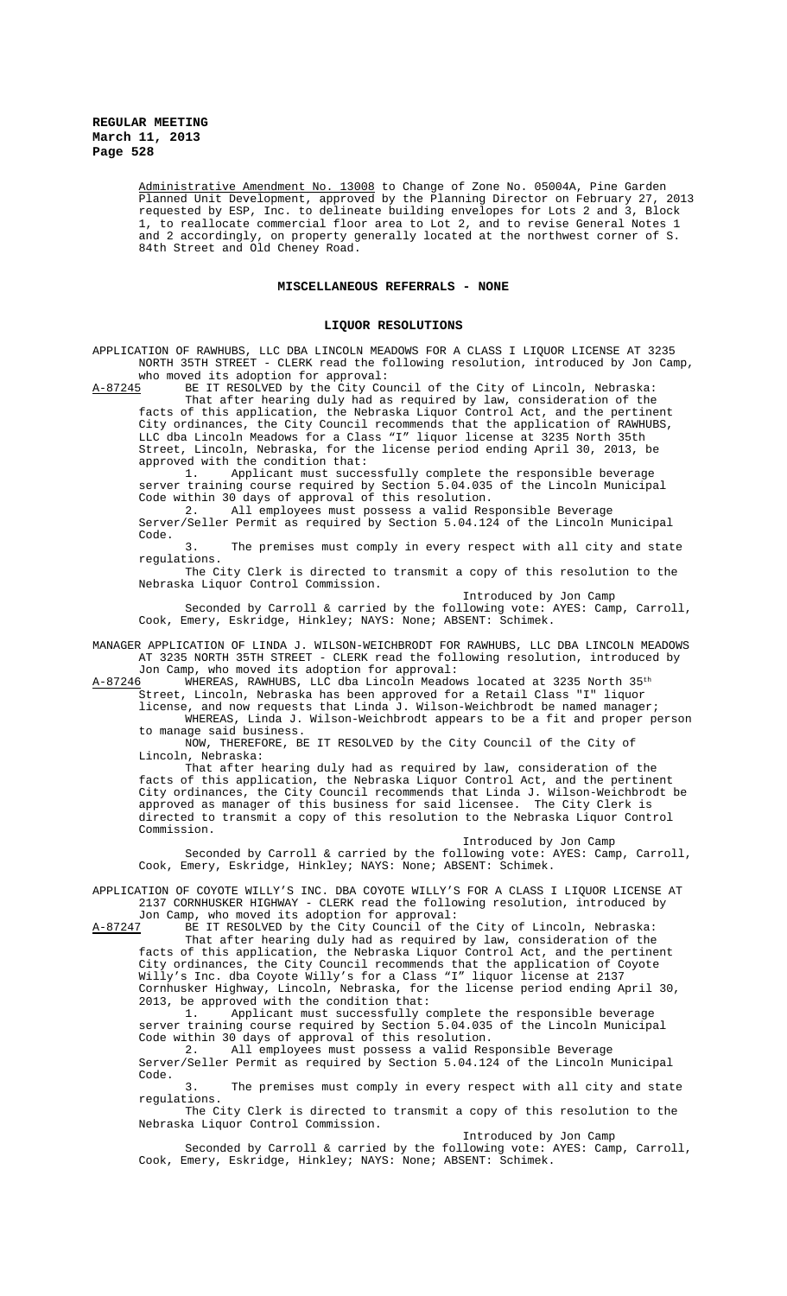> Administrative Amendment No. 13008 to Change of Zone No. 05004A, Pine Garden Planned Unit Development, approved by the Planning Director on February 27, 2013 requested by ESP, Inc. to delineate building envelopes for Lots 2 and 3, Block 1, to reallocate commercial floor area to Lot 2, and to revise General Notes 1 and 2 accordingly, on property generally located at the northwest corner of S. 84th Street and Old Cheney Road.

### **MISCELLANEOUS REFERRALS - NONE**

### **LIQUOR RESOLUTIONS**

APPLICATION OF RAWHUBS, LLC DBA LINCOLN MEADOWS FOR A CLASS I LIQUOR LICENSE AT 3235 NORTH 35TH STREET - CLERK read the following resolution, introduced by Jon Camp,

who moved its adoption for approval:<br>A-87245 BE IT RESOLVED by the City Com BE IT RESOLVED by the City Council of the City of Lincoln, Nebraska:

That after hearing duly had as required by law, consideration of the facts of this application, the Nebraska Liquor Control Act, and the pertinent City ordinances, the City Council recommends that the application of RAWHUBS, LLC dba Lincoln Meadows for a Class "I" liquor license at 3235 North 35th Street, Lincoln, Nebraska, for the license period ending April 30, 2013, be approved with the condition that:

1. Applicant must successfully complete the responsible beverage server training course required by Section 5.04.035 of the Lincoln Municipal Code within 30 days of approval of this resolution.

2. All employees must possess a valid Responsible Beverage Server/Seller Permit as required by Section 5.04.124 of the Lincoln Municipal Code.

3. The premises must comply in every respect with all city and state regulations.

The City Clerk is directed to transmit a copy of this resolution to the Nebraska Liquor Control Commission.

Introduced by Jon Camp

Seconded by Carroll & carried by the following vote: AYES: Camp, Carroll, Cook, Emery, Eskridge, Hinkley; NAYS: None; ABSENT: Schimek.

MANAGER APPLICATION OF LINDA J. WILSON-WEICHBRODT FOR RAWHUBS, LLC DBA LINCOLN MEADOWS AT 3235 NORTH 35TH STREET - CLERK read the following resolution, introduced by

Jon Camp, who moved its adoption for approval:<br>A-87246 WHEREAS, RAWHUBS, LLC dba Lincoln Meadow WHEREAS, RAWHUBS, LLC dba Lincoln Meadows located at 3235 North 35<sup>th</sup> Street, Lincoln, Nebraska has been approved for a Retail Class "I" liquor

license, and now requests that Linda J. Wilson-Weichbrodt be named manager; WHEREAS, Linda J. Wilson-Weichbrodt appears to be a fit and proper person

to manage said business. NOW, THEREFORE, BE IT RESOLVED by the City Council of the City of Lincoln, Nebraska:

That after hearing duly had as required by law, consideration of the facts of this application, the Nebraska Liquor Control Act, and the pertinent City ordinances, the City Council recommends that Linda J. Wilson-Weichbrodt be approved as manager of this business for said licensee. The City Clerk is directed to transmit a copy of this resolution to the Nebraska Liquor Control Commission.

Introduced by Jon Camp

Seconded by Carroll & carried by the following vote: AYES: Camp, Carroll, Cook, Emery, Eskridge, Hinkley; NAYS: None; ABSENT: Schimek.

APPLICATION OF COYOTE WILLY'S INC. DBA COYOTE WILLY'S FOR A CLASS I LIQUOR LICENSE AT 2137 CORNHUSKER HIGHWAY - CLERK read the following resolution, introduced by

Jon Camp, who moved its adoption for approval:<br>A-87247 BE IT RESOLVED by the City Council of the

BE IT RESOLVED by the City Council of the City of Lincoln, Nebraska: That after hearing duly had as required by law, consideration of the facts of this application, the Nebraska Liquor Control Act, and the pertinent City ordinances, the City Council recommends that the application of Coyote Willy's Inc. dba Coyote Willy's for a Class "I" liquor license at 2137 Cornhusker Highway, Lincoln, Nebraska, for the license period ending April 30, 2013, be approved with the condition that:<br>1. Applicant must successfully c

Applicant must successfully complete the responsible beverage server training course required by Section 5.04.035 of the Lincoln Municipal Code within 30 days of approval of this resolution.

2. All employees must possess a valid Responsible Beverage Server/Seller Permit as required by Section 5.04.124 of the Lincoln Municipal Code.

3. The premises must comply in every respect with all city and state regulations.

The City Clerk is directed to transmit a copy of this resolution to the Nebraska Liquor Control Commission.

Introduced by Jon Camp

Seconded by Carroll & carried by the following vote: AYES: Camp, Carroll, Cook, Emery, Eskridge, Hinkley; NAYS: None; ABSENT: Schimek.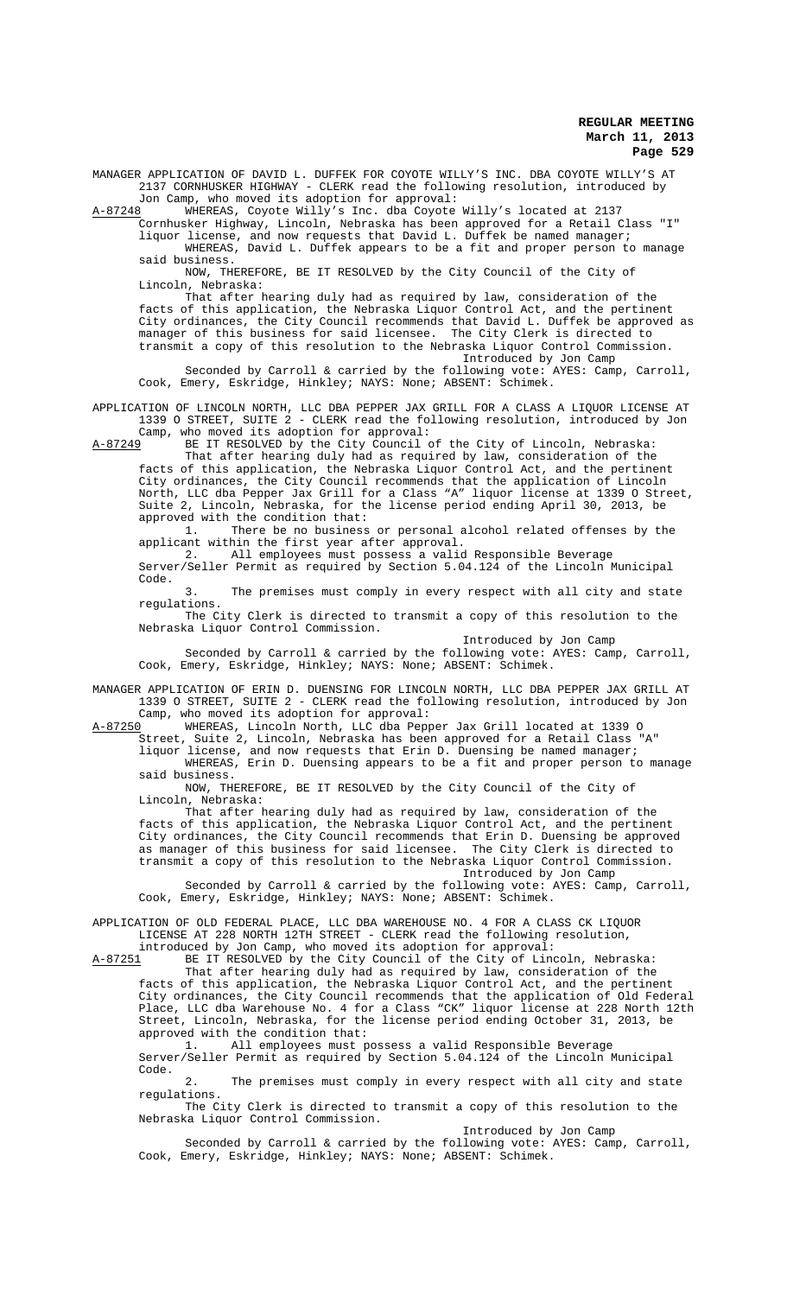MANAGER APPLICATION OF DAVID L. DUFFEK FOR COYOTE WILLY'S INC. DBA COYOTE WILLY'S AT 2137 CORNHUSKER HIGHWAY - CLERK read the following resolution, introduced by

Jon Camp, who moved its adoption for approval:<br>A-87248 WHEREAS, Coyote Willy's Inc. dba Coyote WHEREAS, Coyote Willy's Inc. dba Coyote Willy's located at 2137

Cornhusker Highway, Lincoln, Nebraska has been approved for a Retail Class "I" liquor license, and now requests that David L. Duffek be named manager;

WHEREAS, David L. Duffek appears to be a fit and proper person to manage said business.

NOW, THEREFORE, BE IT RESOLVED by the City Council of the City of Lincoln, Nebraska:

That after hearing duly had as required by law, consideration of the facts of this application, the Nebraska Liquor Control Act, and the pertinent City ordinances, the City Council recommends that David L. Duffek be approved as manager of this business for said licensee. The City Clerk is directed to transmit a copy of this resolution to the Nebraska Liquor Control Commission. Introduced by Jon Camp

Seconded by Carroll & carried by the following vote: AYES: Camp, Carroll, Cook, Emery, Eskridge, Hinkley; NAYS: None; ABSENT: Schimek.

APPLICATION OF LINCOLN NORTH, LLC DBA PEPPER JAX GRILL FOR A CLASS A LIQUOR LICENSE AT 1339 O STREET, SUITE 2 - CLERK read the following resolution, introduced by Jon Camp, who moved its adoption for approval:<br>A-87249 BE IT RESOLVED by the City Council of

BE IT RESOLVED by the City Council of the City of Lincoln, Nebraska: That after hearing duly had as required by law, consideration of the

facts of this application, the Nebraska Liquor Control Act, and the pertinent City ordinances, the City Council recommends that the application of Lincoln North, LLC dba Pepper Jax Grill for a Class "A" liquor license at 1339 O Street, Suite 2, Lincoln, Nebraska, for the license period ending April 30, 2013, be approved with the condition that:

1. There be no business or personal alcohol related offenses by the applicant within the first year after approval.

2. All employees must possess a valid Responsible Beverage Server/Seller Permit as required by Section 5.04.124 of the Lincoln Municipal Code.

3. The premises must comply in every respect with all city and state regulations.

The City Clerk is directed to transmit a copy of this resolution to the Nebraska Liquor Control Commission.

Introduced by Jon Camp Seconded by Carroll & carried by the following vote: AYES: Camp, Carroll, Cook, Emery, Eskridge, Hinkley; NAYS: None; ABSENT: Schimek.

MANAGER APPLICATION OF ERIN D. DUENSING FOR LINCOLN NORTH, LLC DBA PEPPER JAX GRILL AT 1339 O STREET, SUITE 2 - CLERK read the following resolution, introduced by Jon Camp, who moved its adoption for approval:

A-87250 WHEREAS, Lincoln North, LLC dba Pepper Jax Grill located at 1339 O Street, Suite 2, Lincoln, Nebraska has been approved for a Retail Class "A"

liquor license, and now requests that Erin D. Duensing be named manager; WHEREAS, Erin D. Duensing appears to be a fit and proper person to manage said business.

NOW, THEREFORE, BE IT RESOLVED by the City Council of the City of Lincoln, Nebraska:

That after hearing duly had as required by law, consideration of the facts of this application, the Nebraska Liquor Control Act, and the pertinent<br>City ordinances, the City Council recommends that Erin D. Duensing be approved City ordinances, the City Council recommends that Erin D. Duensing be approved as manager of this business for said licensee. The City Clerk is directed to transmit a copy of this resolution to the Nebraska Liquor Control Commission. Introduced by Jon Camp

Seconded by Carroll & carried by the following vote: AYES: Camp, Carroll, Cook, Emery, Eskridge, Hinkley; NAYS: None; ABSENT: Schimek.

APPLICATION OF OLD FEDERAL PLACE, LLC DBA WAREHOUSE NO. 4 FOR A CLASS CK LIQUOR LICENSE AT 228 NORTH 12TH STREET - CLERK read the following resolution,

introduced by Jon Camp, who moved its adoption for approval:

A-87251 BE IT RESOLVED by the City Council of the City of Lincoln, Nebraska: That after hearing duly had as required by law, consideration of the facts of this application, the Nebraska Liquor Control Act, and the pertinent City ordinances, the City Council recommends that the application of Old Federal Place, LLC dba Warehouse No. 4 for a Class "CK" liquor license at 228 North 12th Street, Lincoln, Nebraska, for the license period ending October 31, 2013, be approved with the condition that:

1. All employees must possess a valid Responsible Beverage Server/Seller Permit as required by Section 5.04.124 of the Lincoln Municipal Code.

2. The premises must comply in every respect with all city and state regulations.

The City Clerk is directed to transmit a copy of this resolution to the Nebraska Liquor Control Commission.

Introduced by Jon Camp

Seconded by Carroll & carried by the following vote: AYES: Camp, Carroll, Cook, Emery, Eskridge, Hinkley; NAYS: None; ABSENT: Schimek.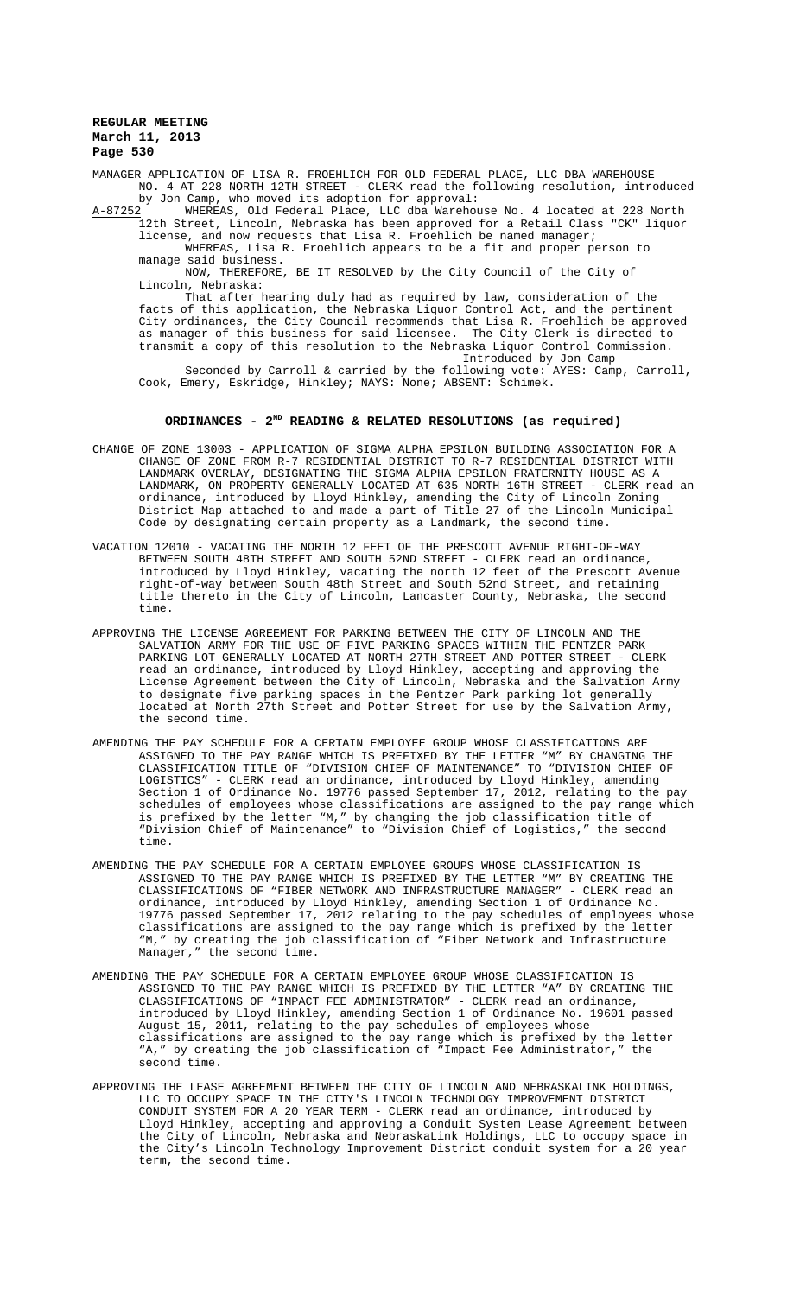MANAGER APPLICATION OF LISA R. FROEHLICH FOR OLD FEDERAL PLACE, LLC DBA WAREHOUSE NO. 4 AT 228 NORTH 12TH STREET - CLERK read the following resolution, introduced by Jon Camp, who moved its adoption for approval:

A-87252<sup>1</sup> WHEREAS, Old Federal Place, LLC dba Warehouse No. 4 located at 228 North 12th Street, Lincoln, Nebraska has been approved for a Retail Class "CK" liquor

license, and now requests that Lisa R. Froehlich be named manager; WHEREAS, Lisa R. Froehlich appears to be a fit and proper person to manage said business.

NOW, THEREFORE, BE IT RESOLVED by the City Council of the City of Lincoln, Nebraska:

That after hearing duly had as required by law, consideration of the facts of this application, the Nebraska Liquor Control Act, and the pertinent City ordinances, the City Council recommends that Lisa R. Froehlich be approved as manager of this business for said licensee. The City Clerk is directed to transmit a copy of this resolution to the Nebraska Liquor Control Commission. Introduced by Jon Camp

Seconded by Carroll & carried by the following vote: AYES: Camp, Carroll, Cook, Emery, Eskridge, Hinkley; NAYS: None; ABSENT: Schimek.

# ORDINANCES - 2<sup>ND</sup> READING & RELATED RESOLUTIONS (as required)

- CHANGE OF ZONE 13003 APPLICATION OF SIGMA ALPHA EPSILON BUILDING ASSOCIATION FOR A CHANGE OF ZONE FROM R-7 RESIDENTIAL DISTRICT TO R-7 RESIDENTIAL DISTRICT WITH LANDMARK OVERLAY, DESIGNATING THE SIGMA ALPHA EPSILON FRATERNITY HOUSE AS A LANDMARK, ON PROPERTY GENERALLY LOCATED AT 635 NORTH 16TH STREET - CLERK read an ordinance, introduced by Lloyd Hinkley, amending the City of Lincoln Zoning District Map attached to and made a part of Title 27 of the Lincoln Municipal Code by designating certain property as a Landmark, the second time.
- VACATION 12010 VACATING THE NORTH 12 FEET OF THE PRESCOTT AVENUE RIGHT-OF-WAY BETWEEN SOUTH 48TH STREET AND SOUTH 52ND STREET - CLERK read an ordinance, introduced by Lloyd Hinkley, vacating the north 12 feet of the Prescott Avenue right-of-way between South 48th Street and South 52nd Street, and retaining title thereto in the City of Lincoln, Lancaster County, Nebraska, the second time.
- APPROVING THE LICENSE AGREEMENT FOR PARKING BETWEEN THE CITY OF LINCOLN AND THE SALVATION ARMY FOR THE USE OF FIVE PARKING SPACES WITHIN THE PENTZER PARK PARKING LOT GENERALLY LOCATED AT NORTH 27TH STREET AND POTTER STREET - CLERK read an ordinance, introduced by Lloyd Hinkley, accepting and approving the License Agreement between the City of Lincoln, Nebraska and the Salvation Army to designate five parking spaces in the Pentzer Park parking lot generally located at North 27th Street and Potter Street for use by the Salvation Army, the second time.
- AMENDING THE PAY SCHEDULE FOR A CERTAIN EMPLOYEE GROUP WHOSE CLASSIFICATIONS ARE ASSIGNED TO THE PAY RANGE WHICH IS PREFIXED BY THE LETTER "M" BY CHANGING THE CLASSIFICATION TITLE OF "DIVISION CHIEF OF MAINTENANCE" TO "DIVISION CHIEF OF LOGISTICS" - CLERK read an ordinance, introduced by Lloyd Hinkley, amending Section 1 of Ordinance No. 19776 passed September 17, 2012, relating to the pay schedules of employees whose classifications are assigned to the pay range which is prefixed by the letter "M," by changing the job classification title of "Division Chief of Maintenance" to "Division Chief of Logistics," the second time.
- AMENDING THE PAY SCHEDULE FOR A CERTAIN EMPLOYEE GROUPS WHOSE CLASSIFICATION IS ASSIGNED TO THE PAY RANGE WHICH IS PREFIXED BY THE LETTER "M" BY CREATING THE CLASSIFICATIONS OF "FIBER NETWORK AND INFRASTRUCTURE MANAGER" - CLERK read an ordinance, introduced by Lloyd Hinkley, amending Section 1 of Ordinance No. 19776 passed September 17, 2012 relating to the pay schedules of employees whose classifications are assigned to the pay range which is prefixed by the letter "M," by creating the job classification of "Fiber Network and Infrastructure Manager," the second time.
- AMENDING THE PAY SCHEDULE FOR A CERTAIN EMPLOYEE GROUP WHOSE CLASSIFICATION IS ASSIGNED TO THE PAY RANGE WHICH IS PREFIXED BY THE LETTER "A" BY CREATING THE CLASSIFICATIONS OF "IMPACT FEE ADMINISTRATOR" - CLERK read an ordinance, introduced by Lloyd Hinkley, amending Section 1 of Ordinance No. 19601 passed August 15, 2011, relating to the pay schedules of employees whose classifications are assigned to the pay range which is prefixed by the letter "A," by creating the job classification of "Impact Fee Administrator," the second time.
- APPROVING THE LEASE AGREEMENT BETWEEN THE CITY OF LINCOLN AND NEBRASKALINK HOLDINGS, LLC TO OCCUPY SPACE IN THE CITY'S LINCOLN TECHNOLOGY IMPROVEMENT DISTRICT CONDUIT SYSTEM FOR A 20 YEAR TERM - CLERK read an ordinance, introduced by Lloyd Hinkley, accepting and approving a Conduit System Lease Agreement between the City of Lincoln, Nebraska and NebraskaLink Holdings, LLC to occupy space in the City's Lincoln Technology Improvement District conduit system for a 20 year term, the second time.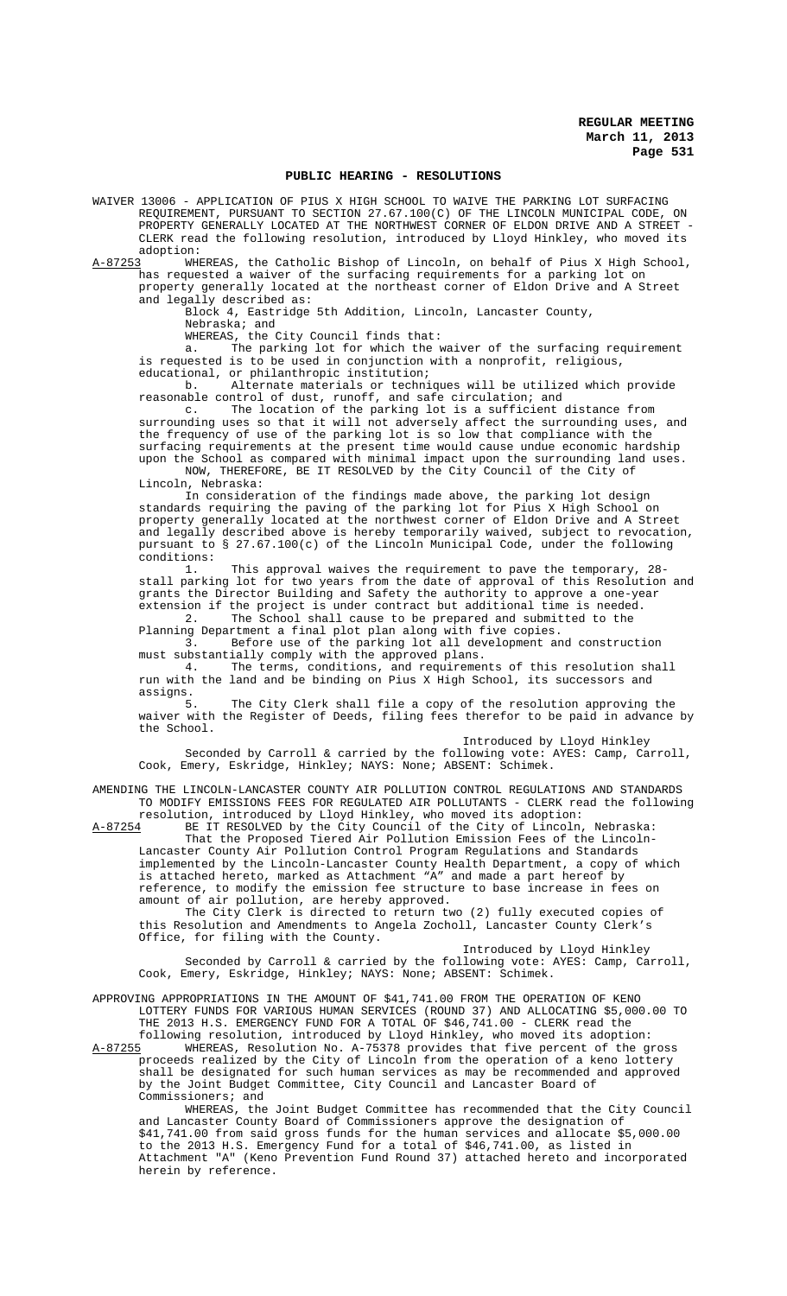### **PUBLIC HEARING - RESOLUTIONS**

WAIVER 13006 - APPLICATION OF PIUS X HIGH SCHOOL TO WAIVE THE PARKING LOT SURFACING REQUIREMENT, PURSUANT TO SECTION 27.67.100(C) OF THE LINCOLN MUNICIPAL CODE, ON PROPERTY GENERALLY LOCATED AT THE NORTHWEST CORNER OF ELDON DRIVE AND A STREET - CLERK read the following resolution, introduced by Lloyd Hinkley, who moved its

adoption:<br>A-87253 WH WHEREAS, the Catholic Bishop of Lincoln, on behalf of Pius X High School, has requested a waiver of the surfacing requirements for a parking lot on property generally located at the northeast corner of Eldon Drive and A Street and legally described as:

Block 4, Eastridge 5th Addition, Lincoln, Lancaster County, Nebraska; and

WHEREAS, the City Council finds that:

a. The parking lot for which the waiver of the surfacing requirement is requested is to be used in conjunction with a nonprofit, religious, educational, or philanthropic institution;

b. Alternate materials or techniques will be utilized which provide reasonable control of dust, runoff, and safe circulation; and<br>c. The location of the parking lot is a sufficient

The location of the parking lot is a sufficient distance from surrounding uses so that it will not adversely affect the surrounding uses, and the frequency of use of the parking lot is so low that compliance with the surfacing requirements at the present time would cause undue economic hardship upon the School as compared with minimal impact upon the surrounding land uses.

NOW, THEREFORE, BE IT RESOLVED by the City Council of the City of Lincoln, Nebraska:

In consideration of the findings made above, the parking lot design standards requiring the paving of the parking lot for Pius X High School on property generally located at the northwest corner of Eldon Drive and A Street and legally described above is hereby temporarily waived, subject to revocation, pursuant to § 27.67.100(c) of the Lincoln Municipal Code, under the following conditions:

This approval waives the requirement to pave the temporary, 28stall parking lot for two years from the date of approval of this Resolution and grants the Director Building and Safety the authority to approve a one-year extension if the project is under contract but additional time is needed. 2. The School shall cause to be prepared and submitted to the

Planning Department a final plot plan along with five copies. 3. Before use of the parking lot all development and construction

must substantially comply with the approved plans.

4. The terms, conditions, and requirements of this resolution shall run with the land and be binding on Pius X High School, its successors and assigns.

The City Clerk shall file a copy of the resolution approving the waiver with the Register of Deeds, filing fees therefor to be paid in advance by the School.

Introduced by Lloyd Hinkley

Seconded by Carroll & carried by the following vote: AYES: Camp, Carroll, Cook, Emery, Eskridge, Hinkley; NAYS: None; ABSENT: Schimek.

AMENDING THE LINCOLN-LANCASTER COUNTY AIR POLLUTION CONTROL REGULATIONS AND STANDARDS TO MODIFY EMISSIONS FEES FOR REGULATED AIR POLLUTANTS - CLERK read the following resolution, introduced by Lloyd Hinkley, who moved its adoption:

A-87254 BE IT RESOLVED by the City Council of the City of Lincoln, Nebraska: That the Proposed Tiered Air Pollution Emission Fees of the Lincoln-Lancaster County Air Pollution Control Program Regulations and Standards implemented by the Lincoln-Lancaster County Health Department, a copy of which

is attached hereto, marked as Attachment "A" and made a part hereof by reference, to modify the emission fee structure to base increase in fees on amount of air pollution, are hereby approved.

The City Clerk is directed to return two (2) fully executed copies of this Resolution and Amendments to Angela Zocholl, Lancaster County Clerk's Office, for filing with the County.

Introduced by Lloyd Hinkley Seconded by Carroll & carried by the following vote: AYES: Camp, Carroll, Cook, Emery, Eskridge, Hinkley; NAYS: None; ABSENT: Schimek.

APPROVING APPROPRIATIONS IN THE AMOUNT OF \$41,741.00 FROM THE OPERATION OF KENO LOTTERY FUNDS FOR VARIOUS HUMAN SERVICES (ROUND 37) AND ALLOCATING \$5,000.00 TO THE 2013 H.S. EMERGENCY FUND FOR A TOTAL OF \$46,741.00 - CLERK read the

following resolution, introduced by Lloyd Hinkley, who moved its adoption: A-87255 WHEREAS, Resolution No. A-75378 provides that five percent of the gross proceeds realized by the City of Lincoln from the operation of a keno lottery shall be designated for such human services as may be recommended and approved by the Joint Budget Committee, City Council and Lancaster Board of Commissioners; and

WHEREAS, the Joint Budget Committee has recommended that the City Council and Lancaster County Board of Commissioners approve the designation of \$41,741.00 from said gross funds for the human services and allocate \$5,000.00 to the 2013 H.S. Emergency Fund for a total of \$46,741.00, as listed in Attachment "A" (Keno Prevention Fund Round 37) attached hereto and incorporated herein by reference.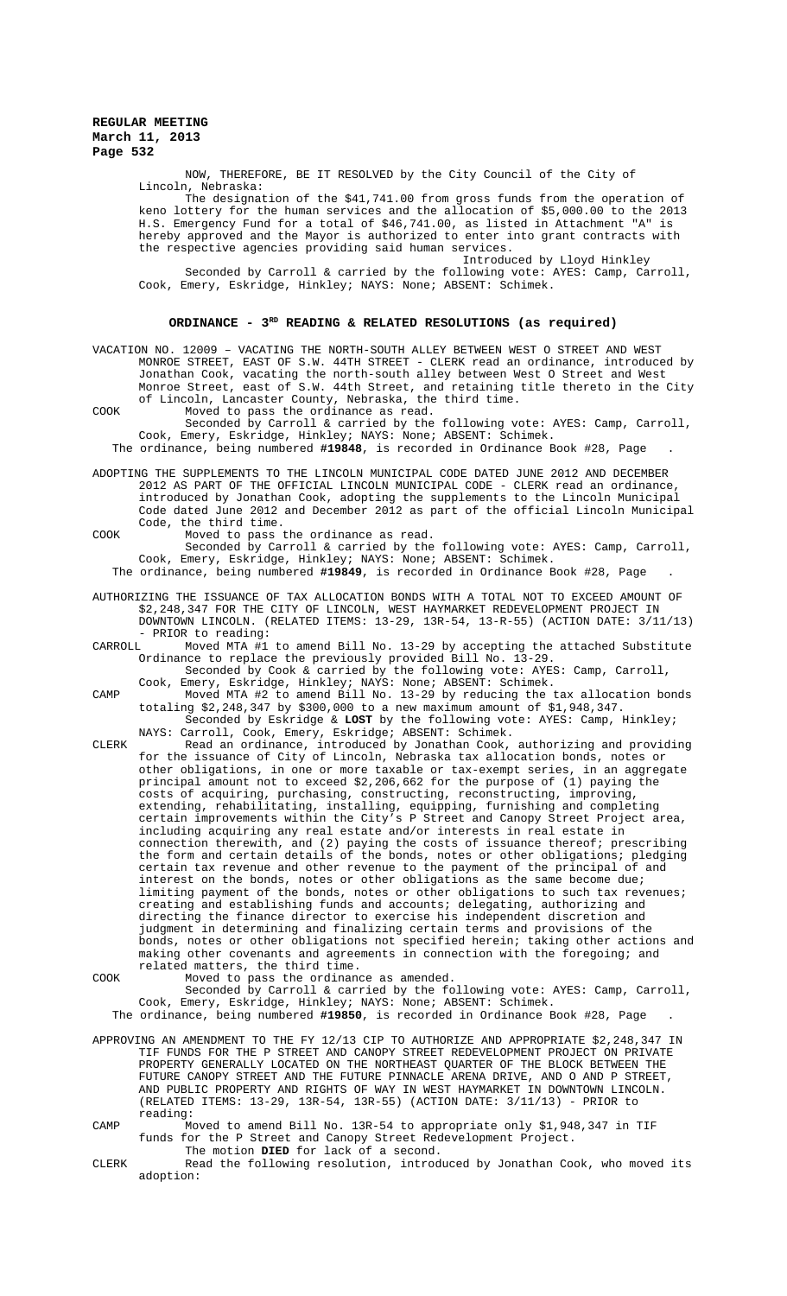NOW, THEREFORE, BE IT RESOLVED by the City Council of the City of Lincoln, Nebraska:

The designation of the \$41,741.00 from gross funds from the operation of keno lottery for the human services and the allocation of \$5,000.00 to the 2013<br>H.S. Emergency Fund for a total of \$46,741.00, as listed in Attachment "A" is H.S. Emergency Fund for a total of \$46,741.00, as listed in Attachment "A" hereby approved and the Mayor is authorized to enter into grant contracts with the respective agencies providing said human services.

Introduced by Lloyd Hinkley Seconded by Carroll & carried by the following vote: AYES: Camp, Carroll, Cook, Emery, Eskridge, Hinkley; NAYS: None; ABSENT: Schimek.

# ORDINANCE - 3<sup>RD</sup> READING & RELATED RESOLUTIONS (as required)

VACATION NO. 12009 – VACATING THE NORTH-SOUTH ALLEY BETWEEN WEST O STREET AND WEST MONROE STREET, EAST OF S.W. 44TH STREET - CLERK read an ordinance, introduced by Jonathan Cook, vacating the north-south alley between West O Street and West Monroe Street, east of S.W. 44th Street, and retaining title thereto in the City of Lincoln, Lancaster County, Nebraska, the third time. COOK Moved to pass the ordinance as read.

Seconded by Carroll & carried by the following vote: AYES: Camp, Carroll, Cook, Emery, Eskridge, Hinkley; NAYS: None; ABSENT: Schimek. The ordinance, being numbered **#19848**, is recorded in Ordinance Book #28, Page .

ADOPTING THE SUPPLEMENTS TO THE LINCOLN MUNICIPAL CODE DATED JUNE 2012 AND DECEMBER 2012 AS PART OF THE OFFICIAL LINCOLN MUNICIPAL CODE - CLERK read an ordinance, introduced by Jonathan Cook, adopting the supplements to the Lincoln Municipal Code dated June 2012 and December 2012 as part of the official Lincoln Municipal Code, the third time.

COOK Moved to pass the ordinance as read. Seconded by Carroll & carried by the following vote: AYES: Camp, Carroll, Cook, Emery, Eskridge, Hinkley; NAYS: None; ABSENT: Schimek. The ordinance, being numbered **#19849**, is recorded in Ordinance Book #28, Page .

AUTHORIZING THE ISSUANCE OF TAX ALLOCATION BONDS WITH A TOTAL NOT TO EXCEED AMOUNT OF \$2,248,347 FOR THE CITY OF LINCOLN, WEST HAYMARKET REDEVELOPMENT PROJECT IN DOWNTOWN LINCOLN. (RELATED ITEMS: 13-29, 13R-54, 13-R-55) (ACTION DATE: 3/11/13)

- PRIOR to reading:<br>CARROLL Moved MTA #1 Moved MTA #1 to amend Bill No. 13-29 by accepting the attached Substitute Ordinance to replace the previously provided Bill No. 13-29.

- Seconded by Cook & carried by the following vote: AYES: Camp, Carroll, Cook, Emery, Eskridge, Hinkley; NAYS: None; ABSENT: Schimek.
- CAMP Moved MTA #2 to amend Bill No. 13-29 by reducing the tax allocation bonds totaling \$2,248,347 by \$300,000 to a new maximum amount of \$1,948,347. Seconded by Eskridge & **LOST** by the following vote: AYES: Camp, Hinkley;

NAYS: Carroll, Cook, Emery, Eskridge; ABSENT: Schimek. CLERK Read an ordinance, introduced by Jonathan Cook, authorizing and providing for the issuance of City of Lincoln, Nebraska tax allocation bonds, notes or other obligations, in one or more taxable or tax-exempt series, in an aggregate principal amount not to exceed \$2,206,662 for the purpose of (1) paying the

costs of acquiring, purchasing, constructing, reconstructing, improving, extending, rehabilitating, installing, equipping, furnishing and completing certain improvements within the City's P Street and Canopy Street Project area, including acquiring any real estate and/or interests in real estate in connection therewith, and (2) paying the costs of issuance thereof; prescribing the form and certain details of the bonds, notes or other obligations; pledging certain tax revenue and other revenue to the payment of the principal of and interest on the bonds, notes or other obligations as the same become due; limiting payment of the bonds, notes or other obligations to such tax revenues; creating and establishing funds and accounts; delegating, authorizing and directing the finance director to exercise his independent discretion and judgment in determining and finalizing certain terms and provisions of the bonds, notes or other obligations not specified herein; taking other actions and making other covenants and agreements in connection with the foregoing; and related matters, the third time.

COOK Moved to pass the ordinance as amended. Seconded by Carroll & carried by the following vote: AYES: Camp, Carroll, Cook, Emery, Eskridge, Hinkley; NAYS: None; ABSENT: Schimek. The ordinance, being numbered **#19850**, is recorded in Ordinance Book #28, Page .

APPROVING AN AMENDMENT TO THE FY 12/13 CIP TO AUTHORIZE AND APPROPRIATE \$2,248,347 IN TIF FUNDS FOR THE P STREET AND CANOPY STREET REDEVELOPMENT PROJECT ON PRIVATE PROPERTY GENERALLY LOCATED ON THE NORTHEAST QUARTER OF THE BLOCK BETWEEN THE FUTURE CANOPY STREET AND THE FUTURE PINNACLE ARENA DRIVE, AND O AND P STREET, AND PUBLIC PROPERTY AND RIGHTS OF WAY IN WEST HAYMARKET IN DOWNTOWN LINCOLN. (RELATED ITEMS: 13-29, 13R-54, 13R-55) (ACTION DATE: 3/11/13) - PRIOR to reading:

CAMP Moved to amend Bill No. 13R-54 to appropriate only \$1,948,347 in TIF funds for the P Street and Canopy Street Redevelopment Project. The motion **DIED** for lack of a second.

CLERK Read the following resolution, introduced by Jonathan Cook, who moved its adoption: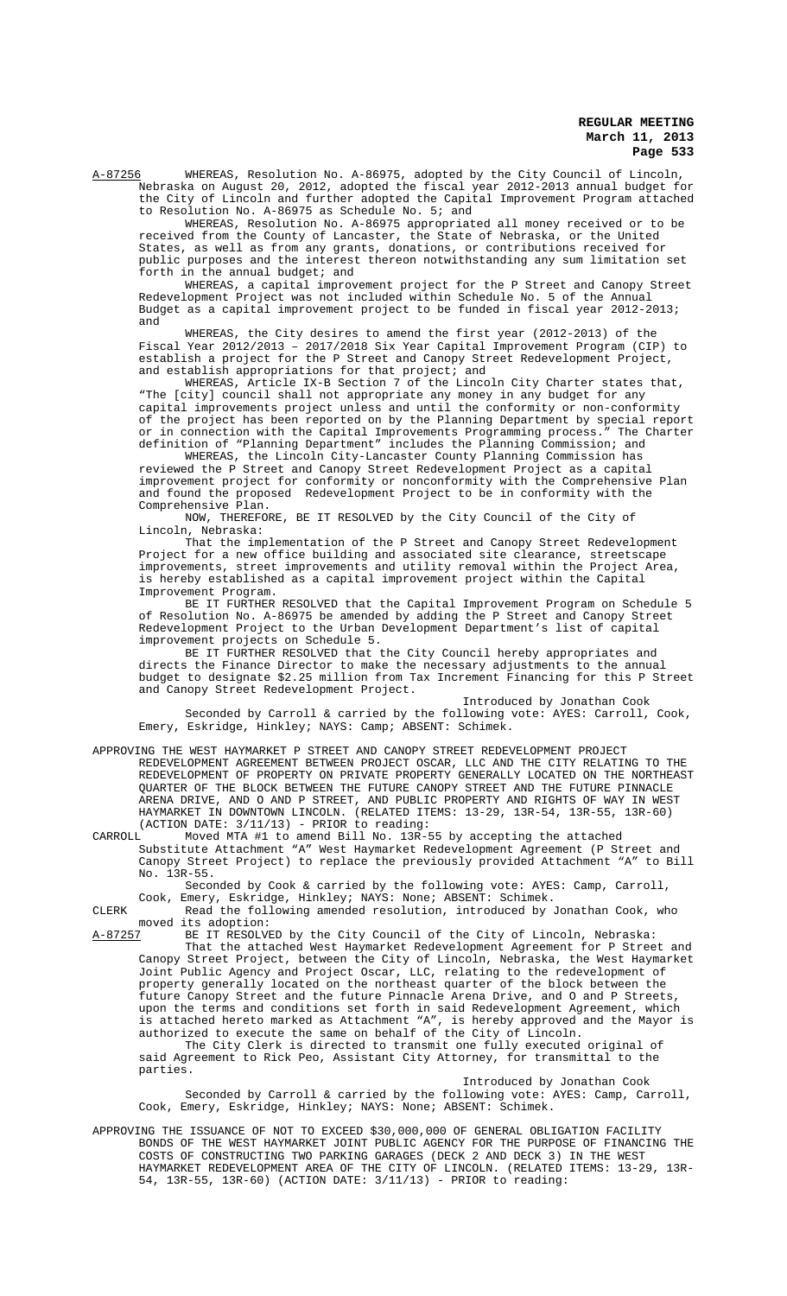A-87256 WHEREAS, Resolution No. A-86975, adopted by the City Council of Lincoln, Nebraska on August 20, 2012, adopted the fiscal year 2012-2013 annual budget for the City of Lincoln and further adopted the Capital Improvement Program attached to Resolution No. A-86975 as Schedule No. 5; and

WHEREAS, Resolution No. A-86975 appropriated all money received or to be received from the County of Lancaster, the State of Nebraska, or the United States, as well as from any grants, donations, or contributions received for public purposes and the interest thereon notwithstanding any sum limitation set forth in the annual budget; and

WHEREAS, a capital improvement project for the P Street and Canopy Street Redevelopment Project was not included within Schedule No. 5 of the Annual Budget as a capital improvement project to be funded in fiscal year 2012-2013; and

WHEREAS, the City desires to amend the first year (2012-2013) of the Fiscal Year 2012/2013 – 2017/2018 Six Year Capital Improvement Program (CIP) to establish a project for the P Street and Canopy Street Redevelopment Project, and establish appropriations for that project; and

WHEREAS, Article IX-B Section 7 of the Lincoln City Charter states that, "The [city] council shall not appropriate any money in any budget for any capital improvements project unless and until the conformity or non-conformity of the project has been reported on by the Planning Department by special report or in connection with the Capital Improvements Programming process." The Charter definition of "Planning Department" includes the Planning Commission; and

WHEREAS, the Lincoln City-Lancaster County Planning Commission has reviewed the P Street and Canopy Street Redevelopment Project as a capital improvement project for conformity or nonconformity with the Comprehensive Plan and found the proposed Redevelopment Project to be in conformity with the Comprehensive Plan.

NOW, THEREFORE, BE IT RESOLVED by the City Council of the City of Lincoln, Nebraska:

That the implementation of the P Street and Canopy Street Redevelopment Project for a new office building and associated site clearance, streetscape improvements, street improvements and utility removal within the Project Area, is hereby established as a capital improvement project within the Capital Improvement Program.

BE IT FURTHER RESOLVED that the Capital Improvement Program on Schedule 5 of Resolution No. A-86975 be amended by adding the P Street and Canopy Street Redevelopment Project to the Urban Development Department's list of capital improvement projects on Schedule 5.

BE IT FURTHER RESOLVED that the City Council hereby appropriates and directs the Finance Director to make the necessary adjustments to the annual budget to designate \$2.25 million from Tax Increment Financing for this P Street and Canopy Street Redevelopment Project.

Introduced by Jonathan Cook Seconded by Carroll & carried by the following vote: AYES: Carroll, Cook, Emery, Eskridge, Hinkley; NAYS: Camp; ABSENT: Schimek.

APPROVING THE WEST HAYMARKET P STREET AND CANOPY STREET REDEVELOPMENT PROJECT REDEVELOPMENT AGREEMENT BETWEEN PROJECT OSCAR, LLC AND THE CITY RELATING TO THE REDEVELOPMENT OF PROPERTY ON PRIVATE PROPERTY GENERALLY LOCATED ON THE NORTHEAST QUARTER OF THE BLOCK BETWEEN THE FUTURE CANOPY STREET AND THE FUTURE PINNACLE ARENA DRIVE, AND O AND P STREET, AND PUBLIC PROPERTY AND RIGHTS OF WAY IN WEST HAYMARKET IN DOWNTOWN LINCOLN. (RELATED ITEMS: 13-29, 13R-54, 13R-55, 13R-60) (ACTION DATE: 3/11/13) - PRIOR to reading:

CARROLL Moved MTA #1 to amend Bill No. 13R-55 by accepting the attached Substitute Attachment "A" West Haymarket Redevelopment Agreement (P Street and Canopy Street Project) to replace the previously provided Attachment "A" to Bill No. 13R-55.

Seconded by Cook & carried by the following vote: AYES: Camp, Carroll, Cook, Emery, Eskridge, Hinkley; NAYS: None; ABSENT: Schimek.

CLERK Read the following amended resolution, introduced by Jonathan Cook, who moved its adoption:

A-87257 BE IT RESOLVED by the City Council of the City of Lincoln, Nebraska: That the attached West Haymarket Redevelopment Agreement for P Street and Canopy Street Project, between the City of Lincoln, Nebraska, the West Haymarket Joint Public Agency and Project Oscar, LLC, relating to the redevelopment of property generally located on the northeast quarter of the block between the future Canopy Street and the future Pinnacle Arena Drive, and O and P Streets, upon the terms and conditions set forth in said Redevelopment Agreement, which is attached hereto marked as Attachment "A", is hereby approved and the Mayor is authorized to execute the same on behalf of the City of Lincoln.

The City Clerk is directed to transmit one fully executed original of said Agreement to Rick Peo, Assistant City Attorney, for transmittal to the parties.

Introduced by Jonathan Cook Seconded by Carroll & carried by the following vote: AYES: Camp, Carroll, Cook, Emery, Eskridge, Hinkley; NAYS: None; ABSENT: Schimek.

APPROVING THE ISSUANCE OF NOT TO EXCEED \$30,000,000 OF GENERAL OBLIGATION FACILITY BONDS OF THE WEST HAYMARKET JOINT PUBLIC AGENCY FOR THE PURPOSE OF FINANCING THE COSTS OF CONSTRUCTING TWO PARKING GARAGES (DECK 2 AND DECK 3) IN THE WEST HAYMARKET REDEVELOPMENT AREA OF THE CITY OF LINCOLN. (RELATED ITEMS: 13-29, 13R-54, 13R-55, 13R-60) (ACTION DATE: 3/11/13) - PRIOR to reading: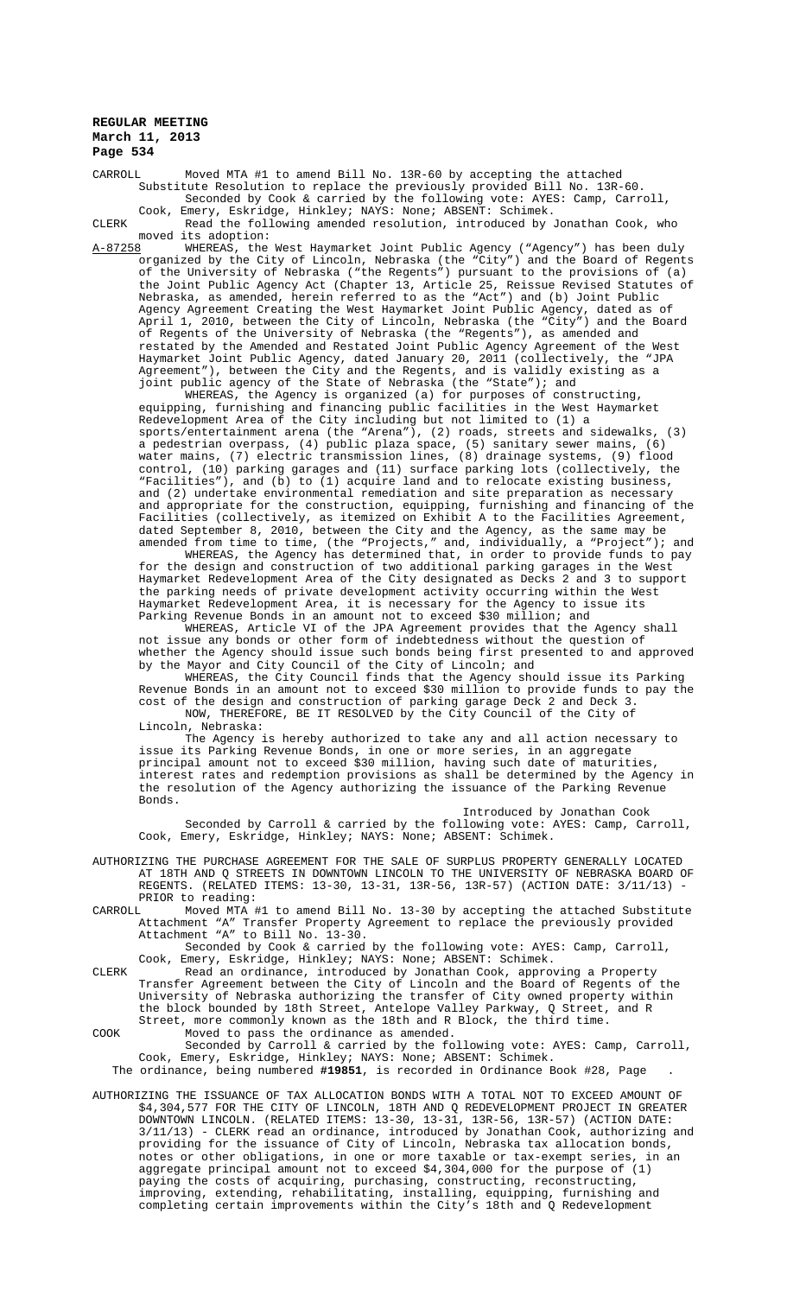CARROLL Moved MTA #1 to amend Bill No. 13R-60 by accepting the attached Substitute Resolution to replace the previously provided Bill No. 13R-60. Seconded by Cook & carried by the following vote: AYES: Camp, Carroll, Cook, Emery, Eskridge, Hinkley; NAYS: None; ABSENT: Schimek.

CLERK Read the following amended resolution, introduced by Jonathan Cook, who moved its adoption:<br>A-87258 WHEREAS, the

A-87258 WHEREAS, the West Haymarket Joint Public Agency ("Agency") has been duly organized by the City of Lincoln, Nebraska (the "City") and the Board of Regents of the University of Nebraska ("the Regents") pursuant to the provisions of (a) the Joint Public Agency Act (Chapter 13, Article 25, Reissue Revised Statutes of Nebraska, as amended, herein referred to as the "Act") and (b) Joint Public Agency Agreement Creating the West Haymarket Joint Public Agency, dated as of April 1, 2010, between the City of Lincoln, Nebraska (the "City") and the Board of Regents of the University of Nebraska (the "Regents"), as amended and restated by the Amended and Restated Joint Public Agency Agreement of the West Haymarket Joint Public Agency, dated January 20, 2011 (collectively, the "JPA Agreement"), between the City and the Regents, and is validly existing as a joint public agency of the State of Nebraska (the "State"); and

WHEREAS, the Agency is organized (a) for purposes of constructing, equipping, furnishing and financing public facilities in the West Haymarket Redevelopment Area of the City including but not limited to (1) a sports/entertainment arena (the "Arena"), (2) roads, streets and sidewalks, (3) a pedestrian overpass, (4) public plaza space, (5) sanitary sewer mains, (6) water mains, (7) electric transmission lines, (8) drainage systems, (9) flood control, (10) parking garages and (11) surface parking lots (collectively, the "Facilities"), and (b) to (1) acquire land and to relocate existing business, and (2) undertake environmental remediation and site preparation as necessary and appropriate for the construction, equipping, furnishing and financing of the Facilities (collectively, as itemized on Exhibit A to the Facilities Agreement, dated September 8, 2010, between the City and the Agency, as the same may be amended from time to time, (the "Projects," and, individually, a "Project"); and

WHEREAS, the Agency has determined that, in order to provide funds to pay for the design and construction of two additional parking garages in the West Haymarket Redevelopment Area of the City designated as Decks 2 and 3 to support the parking needs of private development activity occurring within the West Haymarket Redevelopment Area, it is necessary for the Agency to issue its Parking Revenue Bonds in an amount not to exceed \$30 million; and

WHEREAS, Article VI of the JPA Agreement provides that the Agency shall not issue any bonds or other form of indebtedness without the question of whether the Agency should issue such bonds being first presented to and approved by the Mayor and City Council of the City of Lincoln; and

WHEREAS, the City Council finds that the Agency should issue its Parking Revenue Bonds in an amount not to exceed \$30 million to provide funds to pay the cost of the design and construction of parking garage Deck 2 and Deck 3. NOW, THEREFORE, BE IT RESOLVED by the City Council of the City of Lincoln, Nebraska:

The Agency is hereby authorized to take any and all action necessary to issue its Parking Revenue Bonds, in one or more series, in an aggregate principal amount not to exceed \$30 million, having such date of maturities, interest rates and redemption provisions as shall be determined by the Agency in the resolution of the Agency authorizing the issuance of the Parking Revenue Bonds.

Introduced by Jonathan Cook Seconded by Carroll & carried by the following vote: AYES: Camp, Carroll, Cook, Emery, Eskridge, Hinkley; NAYS: None; ABSENT: Schimek.

AUTHORIZING THE PURCHASE AGREEMENT FOR THE SALE OF SURPLUS PROPERTY GENERALLY LOCATED AT 18TH AND Q STREETS IN DOWNTOWN LINCOLN TO THE UNIVERSITY OF NEBRASKA BOARD OF REGENTS. (RELATED ITEMS: 13-30, 13-31, 13R-56, 13R-57) (ACTION DATE: 3/11/13) PRIOR to reading:<br>CARROLL Moved MTA

Moved MTA #1 to amend Bill No. 13-30 by accepting the attached Substitute Attachment "A" Transfer Property Agreement to replace the previously provided Attachment "A" to Bill No. 13-30.

Seconded by Cook & carried by the following vote: AYES: Camp, Carroll, Cook, Emery, Eskridge, Hinkley; NAYS: None; ABSENT: Schimek.

CLERK Read an ordinance, introduced by Jonathan Cook, approving a Property Transfer Agreement between the City of Lincoln and the Board of Regents of the University of Nebraska authorizing the transfer of City owned property within the block bounded by 18th Street, Antelope Valley Parkway, Q Street, and R Street, more commonly known as the 18th and R Block, the third time. COOK Moved to pass the ordinance as amended.

Seconded by Carroll & carried by the following vote: AYES: Camp, Carroll, Cook, Emery, Eskridge, Hinkley; NAYS: None; ABSENT: Schimek.

The ordinance, being numbered **#19851**, is recorded in Ordinance Book #28, Page .

AUTHORIZING THE ISSUANCE OF TAX ALLOCATION BONDS WITH A TOTAL NOT TO EXCEED AMOUNT OF \$4,304,577 FOR THE CITY OF LINCOLN, 18TH AND Q REDEVELOPMENT PROJECT IN GREATER DOWNTOWN LINCOLN. (RELATED ITEMS: 13-30, 13-31, 13R-56, 13R-57) (ACTION DATE: 3/11/13) - CLERK read an ordinance, introduced by Jonathan Cook, authorizing and providing for the issuance of City of Lincoln, Nebraska tax allocation bonds, notes or other obligations, in one or more taxable or tax-exempt series, in an aggregate principal amount not to exceed \$4,304,000 for the purpose of (1) paying the costs of acquiring, purchasing, constructing, reconstructing, improving, extending, rehabilitating, installing, equipping, furnishing and completing certain improvements within the City's 18th and Q Redevelopment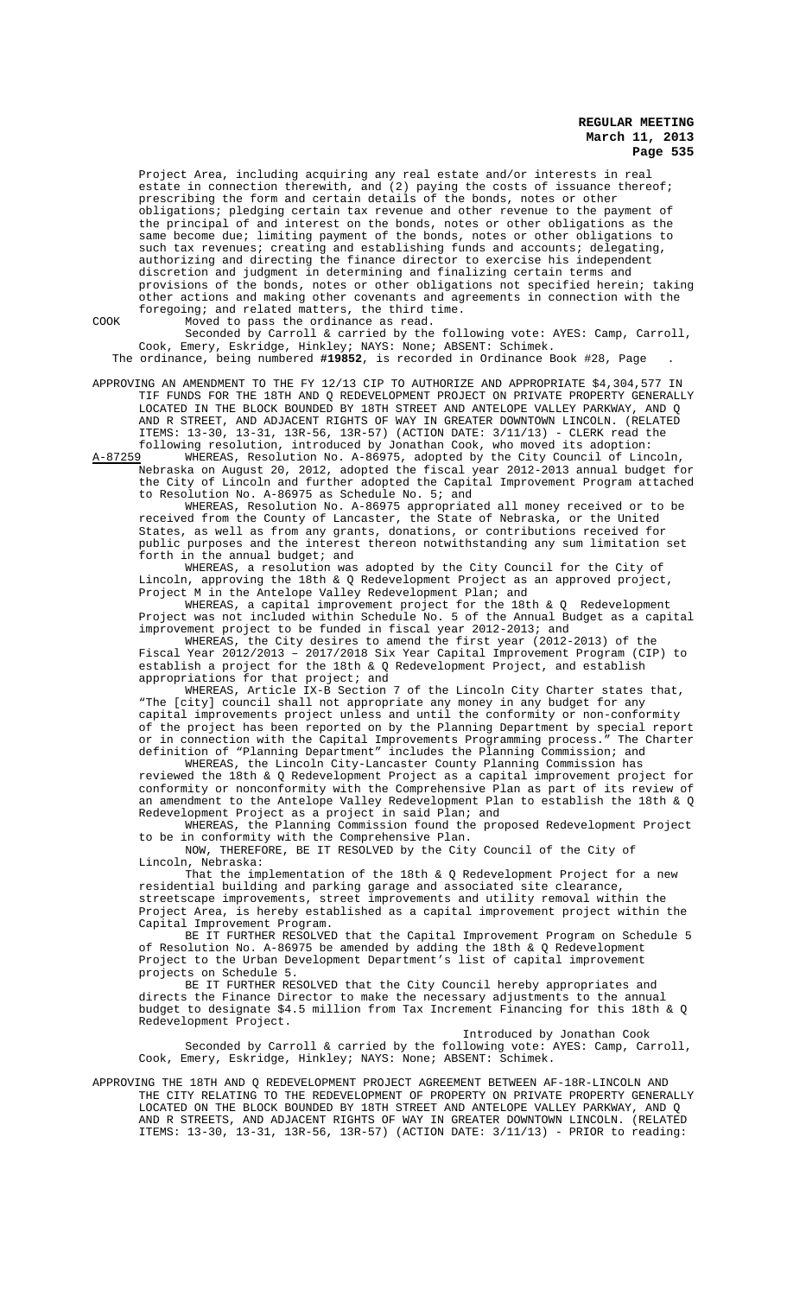Project Area, including acquiring any real estate and/or interests in real estate in connection therewith, and (2) paying the costs of issuance thereof; prescribing the form and certain details of the bonds, notes or other obligations; pledging certain tax revenue and other revenue to the payment of the principal of and interest on the bonds, notes or other obligations as the of and interest on the bonds, notes or other obligations as the same become due; limiting payment of the bonds, notes or other obligations to such tax revenues; creating and establishing funds and accounts; delegating, authorizing and directing the finance director to exercise his independent discretion and judgment in determining and finalizing certain terms and provisions of the bonds, notes or other obligations not specified herein; taking other actions and making other covenants and agreements in connection with the foregoing; and related matters, the third time.

COOK Moved to pass the ordinance as read.

Seconded by Carroll & carried by the following vote: AYES: Camp, Carroll, Cook, Emery, Eskridge, Hinkley; NAYS: None; ABSENT: Schimek. The ordinance, being numbered **#19852**, is recorded in Ordinance Book #28, Page .

APPROVING AN AMENDMENT TO THE FY 12/13 CIP TO AUTHORIZE AND APPROPRIATE \$4,304,577 IN TIF FUNDS FOR THE 18TH AND Q REDEVELOPMENT PROJECT ON PRIVATE PROPERTY GENERALLY LOCATED IN THE BLOCK BOUNDED BY 18TH STREET AND ANTELOPE VALLEY PARKWAY, AND Q AND R STREET, AND ADJACENT RIGHTS OF WAY IN GREATER DOWNTOWN LINCOLN. (RELATED ITEMS: 13-30, 13-31, 13R-56, 13R-57) (ACTION DATE: 3/11/13) - CLERK read the following resolution, introduced by Jonathan Cook, who moved its adoption:

A-87259 WHEREAS, Resolution No. A-86975, adopted by the City Council of Lincoln, Nebraska on August 20, 2012, adopted the fiscal year 2012-2013 annual budget for the City of Lincoln and further adopted the Capital Improvement Program attached to Resolution No. A-86975 as Schedule No. 5; and

WHEREAS, Resolution No. A-86975 appropriated all money received or to be received from the County of Lancaster, the State of Nebraska, or the United States, as well as from any grants, donations, or contributions received for public purposes and the interest thereon notwithstanding any sum limitation set forth in the annual budget; and

WHEREAS, a resolution was adopted by the City Council for the City of Lincoln, approving the 18th & Q Redevelopment Project as an approved project, Project M in the Antelope Valley Redevelopment Plan; and

WHEREAS, a capital improvement project for the 18th & Q Redevelopment Project was not included within Schedule No. 5 of the Annual Budget as a capital improvement project to be funded in fiscal year 2012-2013; and

WHEREAS, the City desires to amend the first year (2012-2013) of the Fiscal Year 2012/2013 – 2017/2018 Six Year Capital Improvement Program (CIP) to establish a project for the 18th & Q Redevelopment Project, and establish appropriations for that project; and

WHEREAS, Article IX-B Section 7 of the Lincoln City Charter states that, "The [city] council shall not appropriate any money in any budget for any capital improvements project unless and until the conformity or non-conformity of the project has been reported on by the Planning Department by special report or in connection with the Capital Improvements Programming process." The Charter definition of "Planning Department" includes the Planning Commission; and

WHEREAS, the Lincoln City-Lancaster County Planning Commission has reviewed the 18th & Q Redevelopment Project as a capital improvement project for conformity or nonconformity with the Comprehensive Plan as part of its review of an amendment to the Antelope Valley Redevelopment Plan to establish the 18th & Q Redevelopment Project as a project in said Plan; and

WHEREAS, the Planning Commission found the proposed Redevelopment Project to be in conformity with the Comprehensive Plan.

NOW, THEREFORE, BE IT RESOLVED by the City Council of the City of Lincoln, Nebraska:

That the implementation of the 18th & Q Redevelopment Project for a new residential building and parking garage and associated site clearance, streetscape improvements, street improvements and utility removal within the Project Area, is hereby established as a capital improvement project within the Capital Improvement Program.

BE IT FURTHER RESOLVED that the Capital Improvement Program on Schedule 5 of Resolution No. A-86975 be amended by adding the 18th & Q Redevelopment Project to the Urban Development Department's list of capital improvement projects on Schedule 5.

BE IT FURTHER RESOLVED that the City Council hereby appropriates and directs the Finance Director to make the necessary adjustments to the annual budget to designate \$4.5 million from Tax Increment Financing for this 18th & Q Redevelopment Project.

Introduced by Jonathan Cook Seconded by Carroll & carried by the following vote: AYES: Camp, Carroll, Cook, Emery, Eskridge, Hinkley; NAYS: None; ABSENT: Schimek.

APPROVING THE 18TH AND Q REDEVELOPMENT PROJECT AGREEMENT BETWEEN AF-18R-LINCOLN AND THE CITY RELATING TO THE REDEVELOPMENT OF PROPERTY ON PRIVATE PROPERTY GENERALLY LOCATED ON THE BLOCK BOUNDED BY 18TH STREET AND ANTELOPE VALLEY PARKWAY, AND Q AND R STREETS, AND ADJACENT RIGHTS OF WAY IN GREATER DOWNTOWN LINCOLN. (RELATED ITEMS: 13-30, 13-31, 13R-56, 13R-57) (ACTION DATE: 3/11/13) - PRIOR to reading: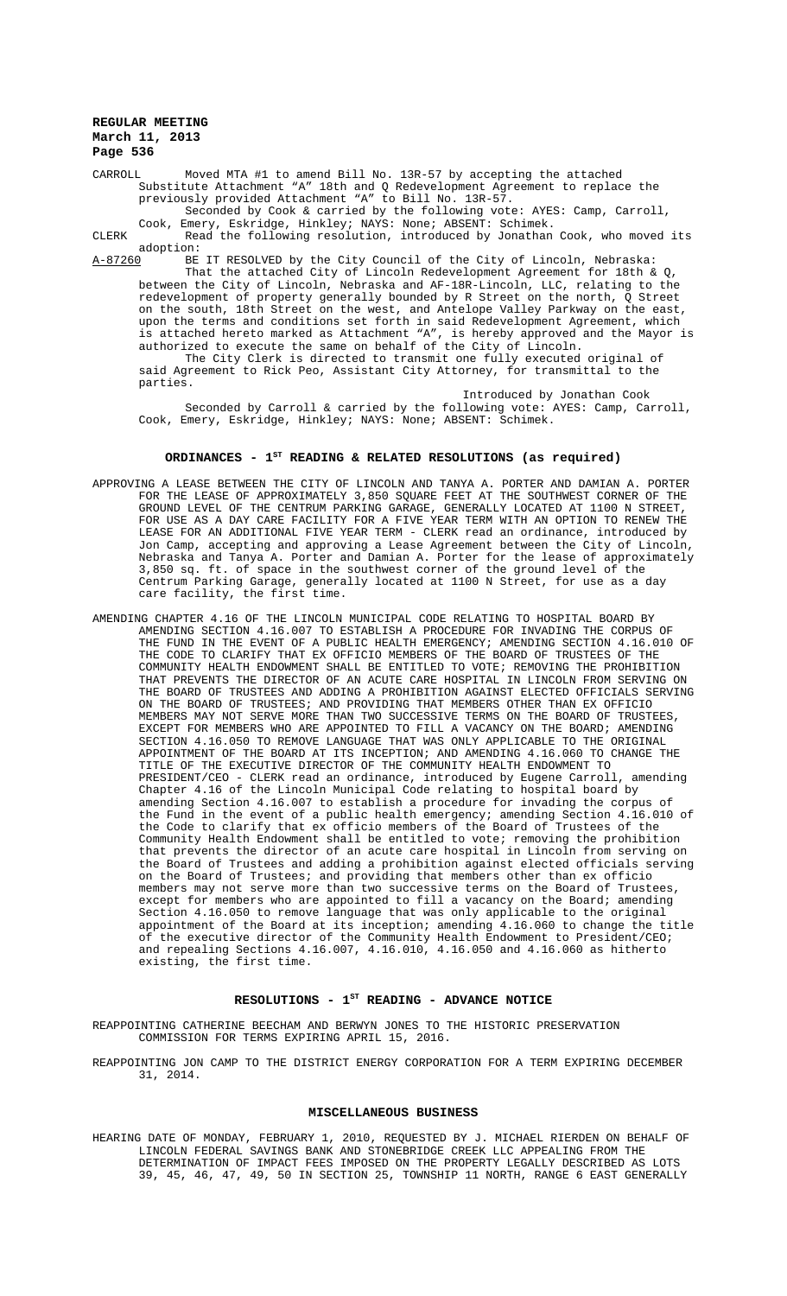CARROLL Moved MTA #1 to amend Bill No. 13R-57 by accepting the attached Substitute Attachment "A" 18th and Q Redevelopment Agreement to replace the previously provided Attachment "A" to Bill No. 13R-57. Seconded by Cook & carried by the following vote: AYES: Camp, Carroll,

Cook, Emery, Eskridge, Hinkley; NAYS: None; ABSENT: Schimek.

CLERK Read the following resolution, introduced by Jonathan Cook, who moved its adoption:<br>A-87260 BE

A-87260 BE IT RESOLVED by the City Council of the City of Lincoln, Nebraska: That the attached City of Lincoln Redevelopment Agreement for 18th & Q, between the City of Lincoln, Nebraska and AF-18R-Lincoln, LLC, relating to the redevelopment of property generally bounded by R Street on the north, Q Street on the south, 18th Street on the west, and Antelope Valley Parkway on the east, upon the terms and conditions set forth in said Redevelopment Agreement, which is attached hereto marked as Attachment "A", is hereby approved and the Mayor is authorized to execute the same on behalf of the City of Lincoln. The City Clerk is directed to transmit one fully executed original of

said Agreement to Rick Peo, Assistant City Attorney, for transmittal to the parties.

Introduced by Jonathan Cook Seconded by Carroll & carried by the following vote: AYES: Camp, Carroll, Cook, Emery, Eskridge, Hinkley; NAYS: None; ABSENT: Schimek.

# ORDINANCES - 1<sup>st</sup> READING & RELATED RESOLUTIONS (as required)

- APPROVING A LEASE BETWEEN THE CITY OF LINCOLN AND TANYA A. PORTER AND DAMIAN A. PORTER FOR THE LEASE OF APPROXIMATELY 3,850 SQUARE FEET AT THE SOUTHWEST CORNER OF THE GROUND LEVEL OF THE CENTRUM PARKING GARAGE, GENERALLY LOCATED AT 1100 N STREET, FOR USE AS A DAY CARE FACILITY FOR A FIVE YEAR TERM WITH AN OPTION TO RENEW THE LEASE FOR AN ADDITIONAL FIVE YEAR TERM - CLERK read an ordinance, introduced by Jon Camp, accepting and approving a Lease Agreement between the City of Lincoln, Nebraska and Tanya A. Porter and Damian A. Porter for the lease of approximately 3,850 sq. ft. of space in the southwest corner of the ground level of the space in the southwest corner of the ground level of Centrum Parking Garage, generally located at 1100 N Street, for use as a day care facility, the first time.
- AMENDING CHAPTER 4.16 OF THE LINCOLN MUNICIPAL CODE RELATING TO HOSPITAL BOARD BY AMENDING SECTION 4.16.007 TO ESTABLISH A PROCEDURE FOR INVADING THE CORPUS OF THE FUND IN THE EVENT OF A PUBLIC HEALTH EMERGENCY; AMENDING SECTION 4.16.010 OF THE CODE TO CLARIFY THAT EX OFFICIO MEMBERS OF THE BOARD OF TRUSTEES OF THE COMMUNITY HEALTH ENDOWMENT SHALL BE ENTITLED TO VOTE; REMOVING THE PROHIBITION THAT PREVENTS THE DIRECTOR OF AN ACUTE CARE HOSPITAL IN LINCOLN FROM SERVING ON THE BOARD OF TRUSTEES AND ADDING A PROHIBITION AGAINST ELECTED OFFICIALS SERVING ON THE BOARD OF TRUSTEES; AND PROVIDING THAT MEMBERS OTHER THAN EX OFFICIO MEMBERS MAY NOT SERVE MORE THAN TWO SUCCESSIVE TERMS ON THE BOARD OF TRUSTEES, EXCEPT FOR MEMBERS WHO ARE APPOINTED TO FILL A VACANCY ON THE BOARD; AMENDING SECTION 4.16.050 TO REMOVE LANGUAGE THAT WAS ONLY APPLICABLE TO THE ORIGINAL APPOINTMENT OF THE BOARD AT ITS INCEPTION; AND AMENDING 4.16.060 TO CHANGE THE TITLE OF THE EXECUTIVE DIRECTOR OF THE COMMUNITY HEALTH ENDOWMENT TO PRESIDENT/CEO - CLERK read an ordinance, introduced by Eugene Carroll, amending Chapter 4.16 of the Lincoln Municipal Code relating to hospital board by amending Section 4.16.007 to establish a procedure for invading the corpus of the Fund in the event of a public health emergency; amending Section 4.16.010 of the Code to clarify that ex officio members of the Board of Trustees of the Community Health Endowment shall be entitled to vote; removing the prohibition that prevents the director of an acute care hospital in Lincoln from serving on the Board of Trustees and adding a prohibition against elected officials serving on the Board of Trustees; and providing that members other than ex officio members may not serve more than two successive terms on the Board of Trustees, except for members who are appointed to fill a vacancy on the Board; amending Section 4.16.050 to remove language that was only applicable to the original appointment of the Board at its inception; amending 4.16.060 to change the title of the executive director of the Community Health Endowment to President/CEO; and repealing Sections 4.16.007, 4.16.010, 4.16.050 and 4.16.060 as hitherto existing, the first time.

## RESOLUTIONS - 1<sup>ST</sup> READING - ADVANCE NOTICE

REAPPOINTING CATHERINE BEECHAM AND BERWYN JONES TO THE HISTORIC PRESERVATION COMMISSION FOR TERMS EXPIRING APRIL 15, 2016.

REAPPOINTING JON CAMP TO THE DISTRICT ENERGY CORPORATION FOR A TERM EXPIRING DECEMBER 31, 2014.

### **MISCELLANEOUS BUSINESS**

HEARING DATE OF MONDAY, FEBRUARY 1, 2010, REQUESTED BY J. MICHAEL RIERDEN ON BEHALF OF LINCOLN FEDERAL SAVINGS BANK AND STONEBRIDGE CREEK LLC APPEALING FROM THE DETERMINATION OF IMPACT FEES IMPOSED ON THE PROPERTY LEGALLY DESCRIBED AS LOTS 39, 45, 46, 47, 49, 50 IN SECTION 25, TOWNSHIP 11 NORTH, RANGE 6 EAST GENERALLY